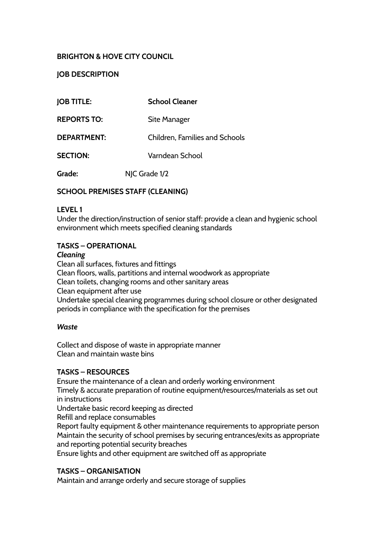# **BRIGHTON & HOVE CITY COUNCIL**

## **JOB DESCRIPTION**

| <b>JOB TITLE:</b>  | <b>School Cleaner</b>          |
|--------------------|--------------------------------|
| <b>REPORTS TO:</b> | Site Manager                   |
| DEPARTMENT:        | Children, Families and Schools |
| <b>SECTION:</b>    | Varndean School                |

**Grade:** NJC Grade 1/2

### **SCHOOL PREMISES STAFF (CLEANING)**

### **LEVEL 1**

Under the direction/instruction of senior staff: provide a clean and hygienic school environment which meets specified cleaning standards

### **TASKS – OPERATIONAL**

#### *Cleaning*

Clean all surfaces, fixtures and fittings Clean floors, walls, partitions and internal woodwork as appropriate Clean toilets, changing rooms and other sanitary areas Clean equipment after use Undertake special cleaning programmes during school closure or other designated periods in compliance with the specification for the premises

### *Waste*

Collect and dispose of waste in appropriate manner Clean and maintain waste bins

### **TASKS – RESOURCES**

Ensure the maintenance of a clean and orderly working environment

Timely & accurate preparation of routine equipment/resources/materials as set out in instructions

Undertake basic record keeping as directed

Refill and replace consumables

Report faulty equipment & other maintenance requirements to appropriate person Maintain the security of school premises by securing entrances/exits as appropriate and reporting potential security breaches

Ensure lights and other equipment are switched off as appropriate

### **TASKS – ORGANISATION**

Maintain and arrange orderly and secure storage of supplies